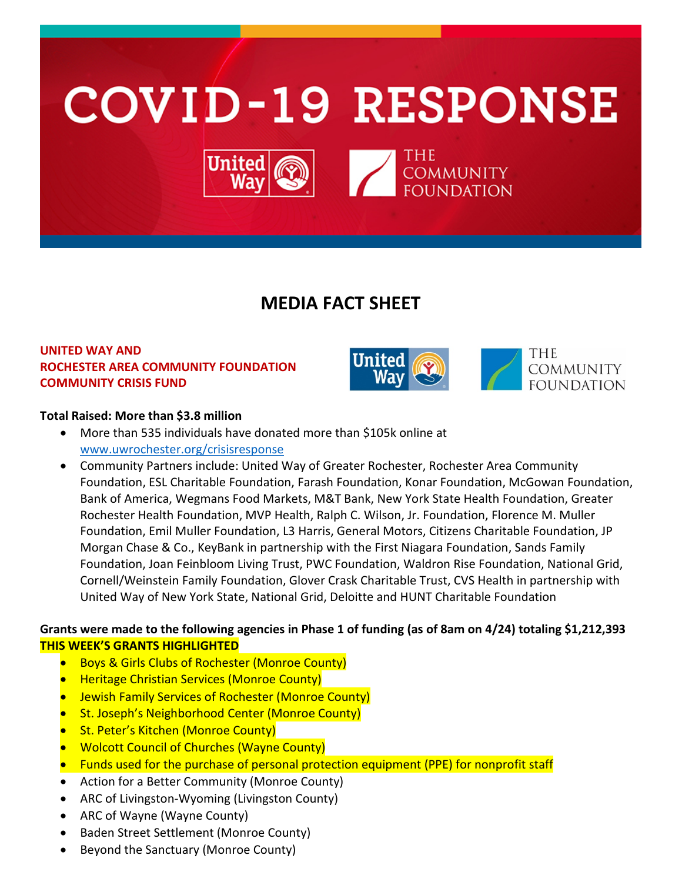

# **MEDIA FACT SHEET**

# **UNITED WAY AND ROCHESTER AREA COMMUNITY FOUNDATION COMMUNITY CRISIS FUND**





### **Total Raised: More than \$3.8 million**

- More than 535 individuals have donated more than \$105k online at [www.uwrochester.org/crisisresponse](http://www.uwrochester.org/crisisresponse)
- Community Partners include: United Way of Greater Rochester, Rochester Area Community Foundation, ESL Charitable Foundation, Farash Foundation, Konar Foundation, McGowan Foundation, Bank of America, Wegmans Food Markets, M&T Bank, New York State Health Foundation, Greater Rochester Health Foundation, MVP Health, Ralph C. Wilson, Jr. Foundation, Florence M. Muller Foundation, Emil Muller Foundation, L3 Harris, General Motors, Citizens Charitable Foundation, JP Morgan Chase & Co., KeyBank in partnership with the First Niagara Foundation, Sands Family Foundation, Joan Feinbloom Living Trust, PWC Foundation, Waldron Rise Foundation, National Grid, Cornell/Weinstein Family Foundation, Glover Crask Charitable Trust, CVS Health in partnership with United Way of New York State, National Grid, Deloitte and HUNT Charitable Foundation

## **Grants were made to the following agencies in Phase 1 of funding (as of 8am on 4/24) totaling \$1,212,393 THIS WEEK'S GRANTS HIGHLIGHTED**

- Boys & Girls Clubs of Rochester (Monroe County)
- Heritage Christian Services (Monroe County)
- Jewish Family Services of Rochester (Monroe County)
- St. Joseph's Neighborhood Center (Monroe County)
- St. Peter's Kitchen (Monroe County)
- **Wolcott Council of Churches (Wayne County)**
- Funds used for the purchase of personal protection equipment (PPE) for nonprofit staff
- Action for a Better Community (Monroe County)
- ARC of Livingston-Wyoming (Livingston County)
- ARC of Wayne (Wayne County)
- Baden Street Settlement (Monroe County)
- Beyond the Sanctuary (Monroe County)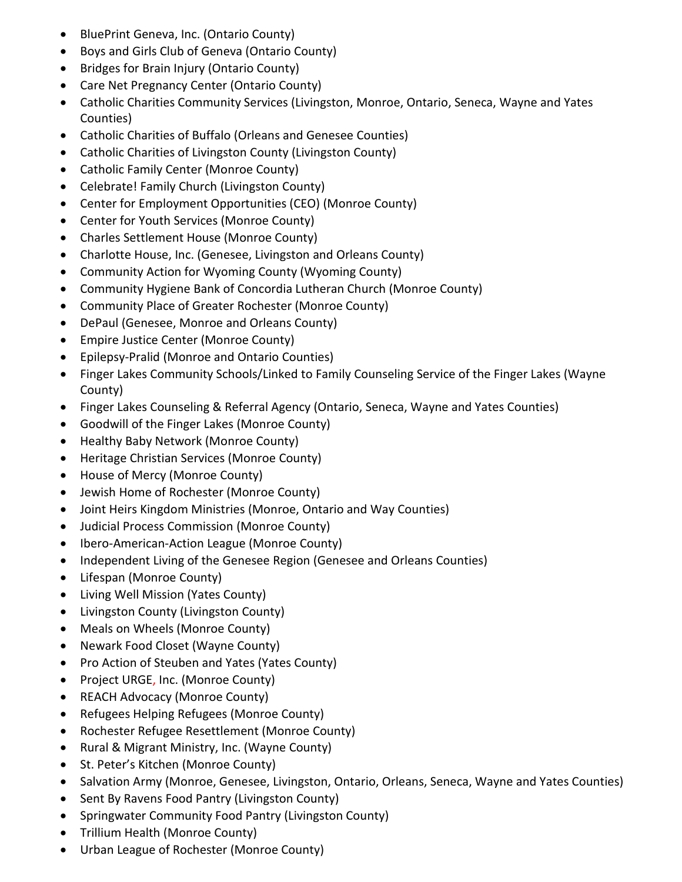- BluePrint Geneva, Inc. (Ontario County)
- Boys and Girls Club of Geneva (Ontario County)
- Bridges for Brain Injury (Ontario County)
- Care Net Pregnancy Center (Ontario County)
- Catholic Charities Community Services (Livingston, Monroe, Ontario, Seneca, Wayne and Yates Counties)
- Catholic Charities of Buffalo (Orleans and Genesee Counties)
- Catholic Charities of Livingston County (Livingston County)
- Catholic Family Center (Monroe County)
- Celebrate! Family Church (Livingston County)
- Center for Employment Opportunities (CEO) (Monroe County)
- Center for Youth Services (Monroe County)
- Charles Settlement House (Monroe County)
- Charlotte House, Inc. (Genesee, Livingston and Orleans County)
- Community Action for Wyoming County (Wyoming County)
- Community Hygiene Bank of Concordia Lutheran Church (Monroe County)
- Community Place of Greater Rochester (Monroe County)
- DePaul (Genesee, Monroe and Orleans County)
- Empire Justice Center (Monroe County)
- Epilepsy-Pralid (Monroe and Ontario Counties)
- Finger Lakes Community Schools/Linked to Family Counseling Service of the Finger Lakes (Wayne County)
- Finger Lakes Counseling & Referral Agency (Ontario, Seneca, Wayne and Yates Counties)
- Goodwill of the Finger Lakes (Monroe County)
- Healthy Baby Network (Monroe County)
- Heritage Christian Services (Monroe County)
- House of Mercy (Monroe County)
- Jewish Home of Rochester (Monroe County)
- Joint Heirs Kingdom Ministries (Monroe, Ontario and Way Counties)
- Judicial Process Commission (Monroe County)
- Ibero-American-Action League (Monroe County)
- Independent Living of the Genesee Region (Genesee and Orleans Counties)
- Lifespan (Monroe County)
- Living Well Mission (Yates County)
- Livingston County (Livingston County)
- Meals on Wheels (Monroe County)
- Newark Food Closet (Wayne County)
- Pro Action of Steuben and Yates (Yates County)
- Project URGE, Inc. (Monroe County)
- REACH Advocacy (Monroe County)
- Refugees Helping Refugees (Monroe County)
- Rochester Refugee Resettlement (Monroe County)
- Rural & Migrant Ministry, Inc. (Wayne County)
- St. Peter's Kitchen (Monroe County)
- Salvation Army (Monroe, Genesee, Livingston, Ontario, Orleans, Seneca, Wayne and Yates Counties)
- Sent By Ravens Food Pantry (Livingston County)
- Springwater Community Food Pantry (Livingston County)
- Trillium Health (Monroe County)
- Urban League of Rochester (Monroe County)